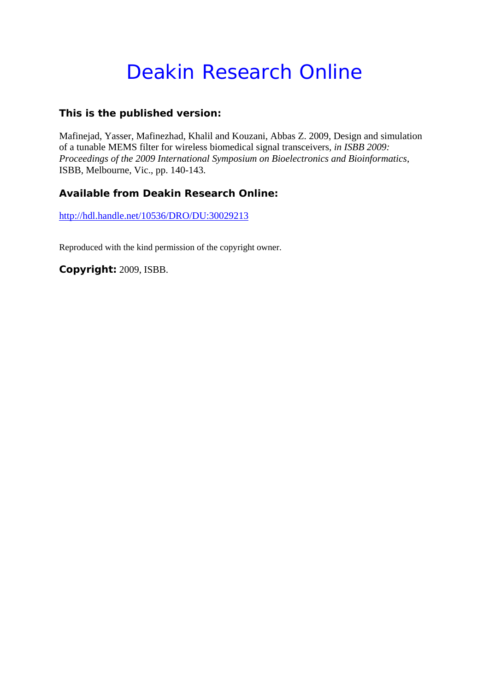# Deakin Research Online

## **This is the published version:**

Mafinejad, Yasser, Mafinezhad, Khalil and Kouzani, Abbas Z. 2009, Design and simulation of a tunable MEMS filter for wireless biomedical signal transceivers*, in ISBB 2009: Proceedings of the 2009 International Symposium on Bioelectronics and Bioinformatics*, ISBB, Melbourne, Vic., pp. 140-143.

## **Available from Deakin Research Online:**

http://hdl.handle.net/10536/DRO/DU:30029213

Reproduced with the kind permission of the copyright owner.

**Copyright:** 2009, ISBB.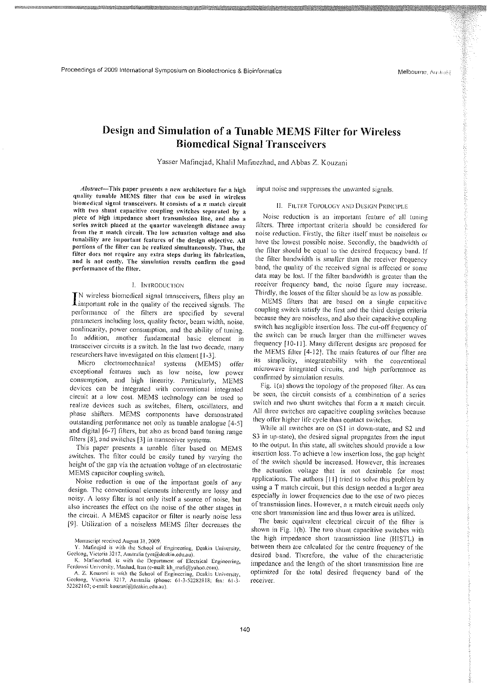## Design and Simulation of a Tunable MEMS Filter for Wireless Biomedical Signal Transceivers

Yasscr Mafincjad, Khalil Mafinczhad, and Abbas Z. Kouzani

*Abstract*-This paper presents a new architecture for a high quality tunable MEMS filter that can be used in wireless biomedical signal transceivers. It consists of a  $\pi$  match circuit with two shunt capacitive coupling switches separated by a piece of high impedance short transmission line, and also a series switch placed at the quarter wavelength distance away from the  $\pi$  match circuit. The low actuation voltage and also tunability are important features of the design objective. All portions of the filter can be realized simultaneously. Thus, the filter docs not require any extra steps during its fabrication, and is not costly. The simulation results confirm the good performance of the filter.

#### !. INTRODUCTION

IN wireless biomedical signal transceivers, filters play an Limportant role in the quality of the received signals. The performanec of the filters arc specified by scveral parameters including loss, quality factor, beam width, noise, nonlinearity, power consumption, and the ability of tuning. In addition, another fundamental basic element in transceiver circuits is a switch. In the last two decade, many researchers have investigated on tbis element [1-3J.

Micro electromechanical systems (MEMS) offer exceptional features such as low noise, low powcr consumption, and high linearity. Particularly, MEMS devices can be integrated with conventional integrated circuit at a low cost. MEMS technology can be used to realize devices such as switches, filters, oscillators, and phase shifters. MEMS components have demonstratcd outstanding performance not only as tunable analogue [4-5} and digital [6-7] filters, but also as broad band tuning range filters [8J, and switches [3] in transceiver systems.

This paper prescnts a tunable filter based on MEMS switches. The filter could be easily tuned by varying the height of the gap via the actuation voltage of an electrostatic MEMS capacitor coupling switch.

Noise reduction is onc of the important goals of any design. The conventional clements inherently are lossy and noisy. A lossy filter is not only itself a source of noise, but also increases the effect on the noise of the other stages in the circuit. A MEMS capacitor or filter is nearly noise less [9]. Utilization of a noiscless MEMS filter decreases the

Manuscript reeeivcd August 31. 2009.

input noise and suppresses the unwanted signals.

### II. FILTER TOPOLOGY AND DESIGN PRINCIPLE

Noise reduction is an important feature of all tuning filters. Three important criteria should be considered for noise reduction. Firstly, the filter itself must be noiseless or have the lowest possible noise. Secondly, the bandwidth of the filter should be equal to the desired frequency band. If the filter bandwidth is smaller than the receiver frequency band, the quality of the received signal is affected or some data may be lost. If the filter bandwidth is greater than the receiver frequency band, the noise figure may increase. Thirdly, the losses of the filter should be as low as possible,

MEMS filters that are based on a single capacitive coupling switch satisfy the first and the third design criteria because they are noiscless, and also their capacitive coupling switch has negligible insertion loss. The cut-ofr frequency of the switch can be much larger than the millimeter waves frequency [10-11]. Many different designs are proposed for the MEMS filter  $[4-12]$ . The main features of our filter are its simplicity, integrateability with the convcntional microwave integrated circuits, and higb performance as confirmed by simulation results.

Fig. 1(a) shows the topology of the proposed filter. As can be seen, the circuit consists of a combination of a series switch and two shunt switches that form a  $\pi$  match circuit. AU three switches are capacitive coupling switches because they offer higher life cycle than contact switches.

While all switches are on (S1 in down-state, and S2 and S3 in up-state), the desired signal propagates from the input to the output. In this state, all switches should provide a low insertion loss. To achieve a low insertion loss, the gap height of the switch should be increased. However, this increases the actuation voltage that is not desirable for most applications. The authors [II] tried to solve this problem by using a T match circuit, but this design needed a larger area especially in lower frequencies due to the usc of two pieces of transmission lines. However, a  $\pi$  match circuit needs only one short transmission line and thus lower area is utilized.

The basic equivalent electrical circuit of the filter is shown in Fig.  $I(b)$ . The two shunt capacitive switches with the high impedance short transmission line (HISTL) in between them are calculated for the centre frequency of the desired band. Therefore, the valuc of the characteristic impedance and the length of the short transmission line are optimized for the total desired frequency band of the receiver.

Y. Mafinejad is with the School of Engineering, Deakin University, Geelong, Victoria 3217, Australia (ym@deakin.edu.au).

K. Mafinezhad, is with the Department of Electrical Engineering, Ferdowsi University, Mashad, Iran (e-mail: kh\_mafi@yahoo.com).

A. Z. Kouzani is with the School of Engineering, Deakin University, Geclong, Victoria 3217, Australia (phone: 61-3-52282818; fax: 61-3-52282167; e-mail: kouzani@deakin.edu.au).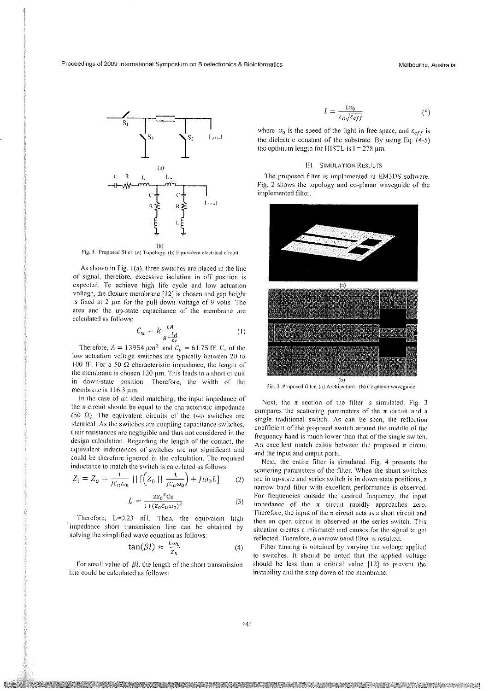Proceedings of 2009 International Symposium on Bioelectronics & Bioinformatics Melbourne, Australia



Fig. I. Proposed tiller. (a) Topology. (b) Equivalent electrical circuit

As shown in Fig.  $I(a)$ , three switches are placed in the line of signal, therefore, excessive isolation in off position is expected. To achieve high life cyele and low actuation voltage, the flexure membrane [12] is chosen and gap height is fixed at 2  $\mu$ m for the pull-down voltage of 9 volts. The area and the up-state capacitance of the membrane arc calculated as follows:

$$
C_{u} = k \frac{\varepsilon A}{g + \frac{\varepsilon d}{\varepsilon r}} \tag{1}
$$

Therefore,  $A = 13954 \mu m^2$  and  $C_u = 61.75$  fF. C<sub>u</sub> of the low actuation voltage switches arc typically between 20 to 100 fF. For a 50  $\Omega$  characteristic impedance, the length of the membrane is chosen  $120 \mu m$ . This leads to a short circuit in down-state position. Therefore, the width of the membrane is  $116.3 \mu m$ .

In the case of an ideal matching, the input impedance of the  $\pi$  circuit should be equal to the characteristic impedance (50  $\Omega$ ). The equivalent circuits of the two switches are identical. As the switches are coupling capacitance switches, their resistances are negligible and thus not considered in the design calculation. Regarding the length of the contact, the equivalent inductances of switches are not significant and could be therefore ignored in the calculation. The required inductance to match the switch is calculated as follows:

$$
Z_i = Z_o = \frac{1}{Jc_u\omega_0} \left| \left[ \left( Z_0 \mid \frac{1}{Jc_u\omega_0} \right) + J\omega_0 L \right] \right| \tag{2}
$$

$$
L = \frac{2Z_0^2 Cu}{1 + (Z_0 C_u \omega_0)^2}
$$
 (3)

Therefore,  $L=0.23$  nH. Then, the equivalent high impedance short transmission line can be obtained by solving the simplified wave equation as follows:

$$
\tan(\beta l) \approx \frac{L\omega_0}{Z_h} \tag{4}
$$

For small value of  $\beta l$ , the length of the short transmission line could be calculated as follows:

$$
l = \frac{Lv_0}{z_h \sqrt{\varepsilon_{eff}}} \tag{5}
$$

where  $v_0$  is the speed of the light in free space, and  $\varepsilon_{eff}$  is the dielectric constant of the substrate. By using Eq. (4-5) the optimum length for HISTL is  $1 = 278 \text{ }\mu\text{m}$ .

#### III. SIMULATION RESULTS

The proposed filter is implemented in EM3DS software. Fig. 2 shows the topology and co-planar waveguide of the implemented filter.



Fig. 2. Proposed filter. (a) Architecture. (b) Co-planar waveguide

Next, the  $\pi$  section of the filter is simulated. Fig. 3 compares the scattering parameters of the  $\pi$  circuit and a single traditional switch. As can be seen, the reflection coefficient of the proposed switch around the middle of the frequency band is much lower than that of the single switch. An excellent match exists between the proposed  $\pi$  circuit and the input and output ports.

Next, the entire filter is simulated. Fig. 4 presents the scattering paramcters of the filter. When tbe shunt switches arc in up-state and series switch is in down-state positions, a narrow band filter with excellent performance is observed. For frequencies outside the desired frequency, the input impedance of the  $\pi$  circuit rapidly approaches zero. Therefore, the input of the  $\pi$  circuit acts as a short circuit and then an open circuit is observed at the series switch. This situation creates a mismatch and causes for the signal to get reflected. Therefore, a narrow band filter is resulted.

Filter tunning is obtained by varying the voltage applied to switches. It should be noted that the applied voltage should be less than a critical value  $[12]$  to prevent the instability and the snap down of the membrane.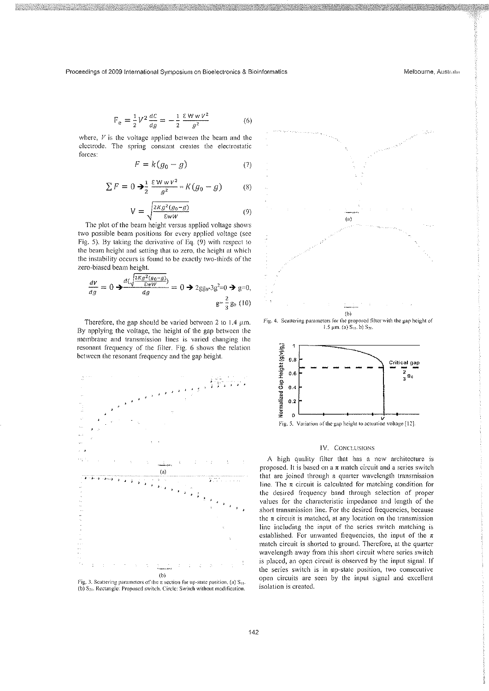Proceedings of 2009 International Symposium on Bioelectronics & Bioinformatics Melbourne, Australia Melbourne, Australia

$$
F_e = \frac{1}{2} V^2 \frac{dC}{dg} = -\frac{1}{2} \frac{\epsilon W w v^2}{g^2}
$$
 (6)

where,  $V$  is the voltage applied between the beam and the electrode. The spring constant creates the electrostatic forces:

$$
F = k(g_0 - g) \tag{7}
$$

$$
\sum F = 0 \Rightarrow \frac{1}{2} \frac{\varepsilon W w v^2}{g^2} = K(g_0 - g) \tag{8}
$$

$$
V = \sqrt{\frac{2Kg^2(g_0 - g)}{\epsilon wW}} \tag{9}
$$

The plot of the beam height versus applied voltage shows two possible beam positions for every applied voltage (see Fig. 5). By taking the derivative of Eq. (9) with respect to the beam height and setting that to zero, the height at which the instability occurs is found to be exactly two-thirds of the zero-biased beam height.

$$
\frac{dV}{dg} = 0 \rightarrow \frac{d(\sqrt{\frac{2Kg^2(g_0 - g)}{\epsilon_W W}})}{dg} = 0 \rightarrow 2gg_0.3g^2 = 0 \rightarrow g = 0,
$$
  

$$
g = \frac{2}{3}g_0 (10)
$$

Therefore, the gap should be varied between 2 to  $1.4 \mu m$ . By applying the voltage, the height of the gap between the membrane and transmission lines is varied changing the resonant frequency of the filter. Fig. 6 shows the relation between the resonant frequency and the gap height.



Fig. 3. Scattering parameters of the  $\pi$  section for up-state position. (a) S<sub>11</sub>. (b)  $S_{21}$ . Rectangle: Proposed switch. Circle: Switch without modification.



Fig. 4. Scallering parameters for the proposed fillcr with the gap hcight of 1.5  $\mu$ m. (a) S<sub>11</sub>, b) S<sub>21</sub>.



### IV. CONCLUSIONS

A high quality filter that has a new architecture is proposed. It is based on a  $\pi$  match circuit and a series switch that are joined through a quarter wavelength transmission line. The  $\pi$  circuit is calculated for matching condition for the desired frequency band through selection of proper values for the characteristic impedance and length of the short transmission line. For the desired frequencies, because the  $\pi$  circuit is matched, at any location on the transmission line including the input of the series switch matching is established. For unwanted frequencies, the input of the  $\pi$ match circuit is shorted to ground. Therefore, at the quarter wavelength away from this short circuit where series switch is placed, an open circuit is observed by the input signal. If the series switch is in up-state position, two consecutive open circuits are seen by the input signal and excellent isolation is created.